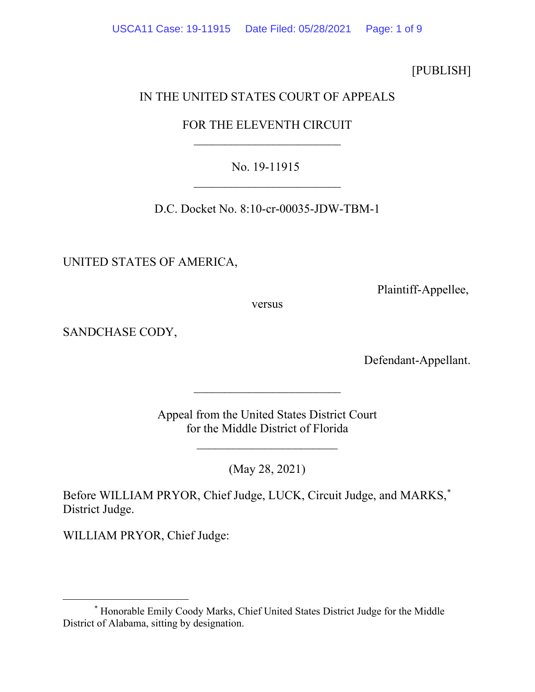[PUBLISH]

## IN THE UNITED STATES COURT OF APPEALS

# FOR THE ELEVENTH CIRCUIT  $\overline{\phantom{a}}$

### No. 19-11915  $\overline{\phantom{a}}$

D.C. Docket No. 8:10-cr-00035-JDW-TBM-1

UNITED STATES OF AMERICA,

Plaintiff-Appellee,

versus

SANDCHASE CODY,

Defendant-Appellant.

Appeal from the United States District Court for the Middle District of Florida

 $\overline{\phantom{a}}$  , which is a set of the set of the set of the set of the set of the set of the set of the set of the set of the set of the set of the set of the set of the set of the set of the set of the set of the set of th

 $\overline{\phantom{a}}$ 

(May 28, 2021)

Before WILLIAM PRYOR, Chief Judge, LUCK, Circuit Judge, and MARKS, [\\*](#page-0-0) District Judge.

WILLIAM PRYOR, Chief Judge:

<span id="page-0-0"></span><sup>\*</sup> Honorable Emily Coody Marks, Chief United States District Judge for the Middle District of Alabama, sitting by designation.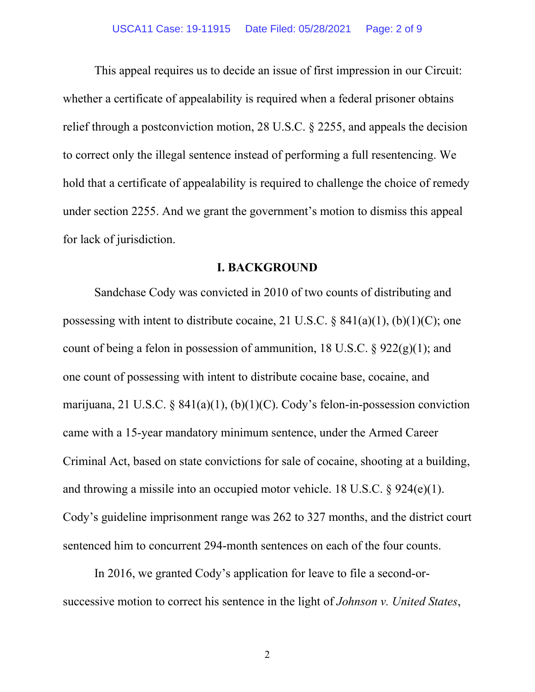This appeal requires us to decide an issue of first impression in our Circuit: whether a certificate of appealability is required when a federal prisoner obtains relief through a postconviction motion, 28 U.S.C. § 2255, and appeals the decision to correct only the illegal sentence instead of performing a full resentencing. We hold that a certificate of appealability is required to challenge the choice of remedy under section 2255. And we grant the government's motion to dismiss this appeal for lack of jurisdiction.

#### **I. BACKGROUND**

Sandchase Cody was convicted in 2010 of two counts of distributing and possessing with intent to distribute cocaine, 21 U.S.C.  $\S$  841(a)(1), (b)(1)(C); one count of being a felon in possession of ammunition, 18 U.S.C.  $\S$  922(g)(1); and one count of possessing with intent to distribute cocaine base, cocaine, and marijuana, 21 U.S.C. § 841(a)(1), (b)(1)(C). Cody's felon-in-possession conviction came with a 15-year mandatory minimum sentence, under the Armed Career Criminal Act, based on state convictions for sale of cocaine, shooting at a building, and throwing a missile into an occupied motor vehicle. 18 U.S.C. § 924(e)(1). Cody's guideline imprisonment range was 262 to 327 months, and the district court sentenced him to concurrent 294-month sentences on each of the four counts.

In 2016, we granted Cody's application for leave to file a second-orsuccessive motion to correct his sentence in the light of *Johnson v. United States*,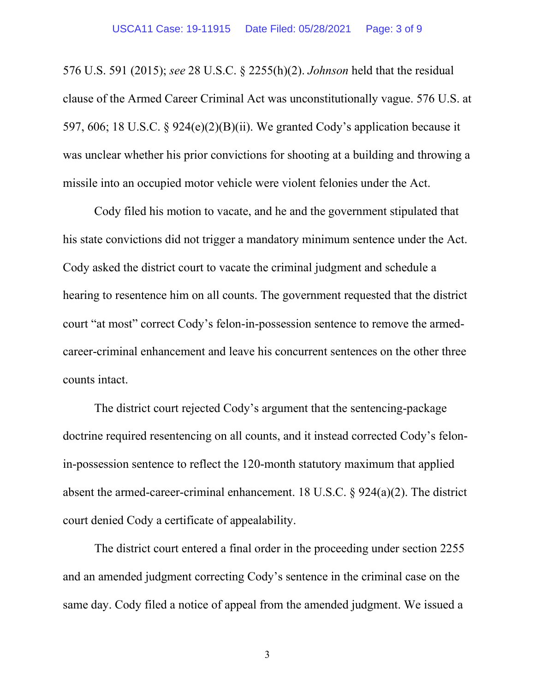576 U.S. 591 (2015); *see* 28 U.S.C. § 2255(h)(2). *Johnson* held that the residual clause of the Armed Career Criminal Act was unconstitutionally vague. 576 U.S. at 597, 606; 18 U.S.C. § 924(e)(2)(B)(ii). We granted Cody's application because it was unclear whether his prior convictions for shooting at a building and throwing a missile into an occupied motor vehicle were violent felonies under the Act.

Cody filed his motion to vacate, and he and the government stipulated that his state convictions did not trigger a mandatory minimum sentence under the Act. Cody asked the district court to vacate the criminal judgment and schedule a hearing to resentence him on all counts. The government requested that the district court "at most" correct Cody's felon-in-possession sentence to remove the armedcareer-criminal enhancement and leave his concurrent sentences on the other three counts intact.

The district court rejected Cody's argument that the sentencing-package doctrine required resentencing on all counts, and it instead corrected Cody's felonin-possession sentence to reflect the 120-month statutory maximum that applied absent the armed-career-criminal enhancement. 18 U.S.C. § 924(a)(2). The district court denied Cody a certificate of appealability.

The district court entered a final order in the proceeding under section 2255 and an amended judgment correcting Cody's sentence in the criminal case on the same day. Cody filed a notice of appeal from the amended judgment. We issued a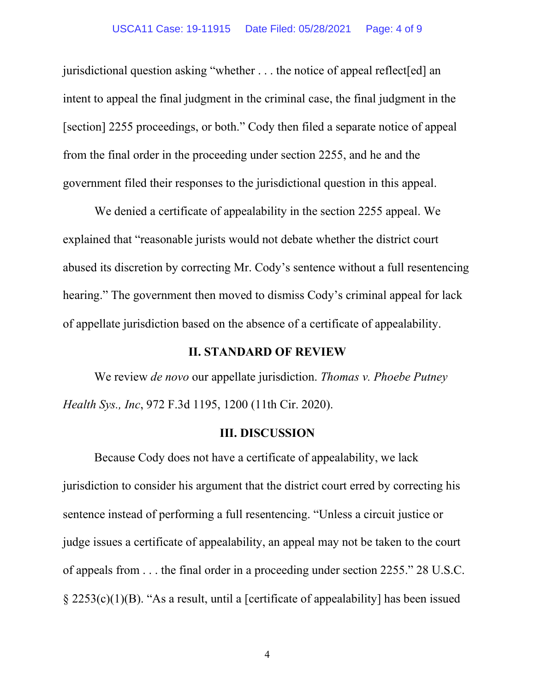jurisdictional question asking "whether . . . the notice of appeal reflect[ed] an intent to appeal the final judgment in the criminal case, the final judgment in the [section] 2255 proceedings, or both." Cody then filed a separate notice of appeal from the final order in the proceeding under section 2255, and he and the government filed their responses to the jurisdictional question in this appeal.

We denied a certificate of appealability in the section 2255 appeal. We explained that "reasonable jurists would not debate whether the district court abused its discretion by correcting Mr. Cody's sentence without a full resentencing hearing." The government then moved to dismiss Cody's criminal appeal for lack of appellate jurisdiction based on the absence of a certificate of appealability.

#### **II. STANDARD OF REVIEW**

We review *de novo* our appellate jurisdiction. *Thomas v. Phoebe Putney Health Sys., Inc*, 972 F.3d 1195, 1200 (11th Cir. 2020).

#### **III. DISCUSSION**

Because Cody does not have a certificate of appealability, we lack jurisdiction to consider his argument that the district court erred by correcting his sentence instead of performing a full resentencing. "Unless a circuit justice or judge issues a certificate of appealability, an appeal may not be taken to the court of appeals from . . . the final order in a proceeding under section 2255." 28 U.S.C. § 2253(c)(1)(B). "As a result, until a [certificate of appealability] has been issued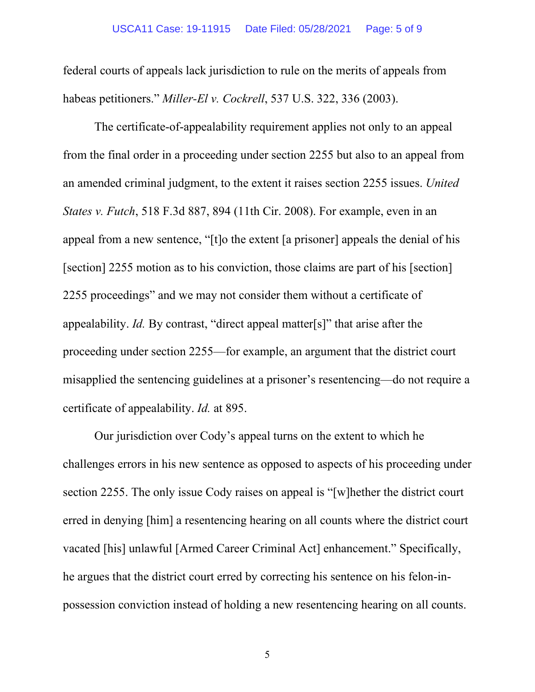federal courts of appeals lack jurisdiction to rule on the merits of appeals from habeas petitioners." *Miller-El v. Cockrell*, 537 U.S. 322, 336 (2003).

The certificate-of-appealability requirement applies not only to an appeal from the final order in a proceeding under section 2255 but also to an appeal from an amended criminal judgment, to the extent it raises section 2255 issues. *United States v. Futch*, 518 F.3d 887, 894 (11th Cir. 2008). For example, even in an appeal from a new sentence, "[t]o the extent [a prisoner] appeals the denial of his [section] 2255 motion as to his conviction, those claims are part of his [section] 2255 proceedings" and we may not consider them without a certificate of appealability. *Id.* By contrast, "direct appeal matter[s]" that arise after the proceeding under section 2255—for example, an argument that the district court misapplied the sentencing guidelines at a prisoner's resentencing—do not require a certificate of appealability. *Id.* at 895.

Our jurisdiction over Cody's appeal turns on the extent to which he challenges errors in his new sentence as opposed to aspects of his proceeding under section 2255. The only issue Cody raises on appeal is "[w]hether the district court erred in denying [him] a resentencing hearing on all counts where the district court vacated [his] unlawful [Armed Career Criminal Act] enhancement." Specifically, he argues that the district court erred by correcting his sentence on his felon-inpossession conviction instead of holding a new resentencing hearing on all counts.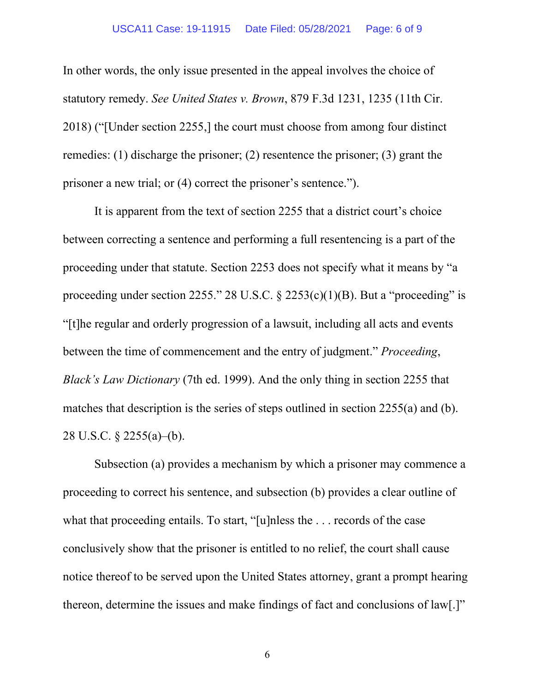In other words, the only issue presented in the appeal involves the choice of statutory remedy. *See United States v. Brown*, 879 F.3d 1231, 1235 (11th Cir. 2018) ("[Under section 2255,] the court must choose from among four distinct remedies: (1) discharge the prisoner; (2) resentence the prisoner; (3) grant the prisoner a new trial; or (4) correct the prisoner's sentence.").

It is apparent from the text of section 2255 that a district court's choice between correcting a sentence and performing a full resentencing is a part of the proceeding under that statute. Section 2253 does not specify what it means by "a proceeding under section 2255." 28 U.S.C.  $\S$  2253(c)(1)(B). But a "proceeding" is "[t]he regular and orderly progression of a lawsuit, including all acts and events between the time of commencement and the entry of judgment." *Proceeding*, *Black's Law Dictionary* (7th ed. 1999). And the only thing in section 2255 that matches that description is the series of steps outlined in section 2255(a) and (b). 28 U.S.C. § 2255(a)–(b).

Subsection (a) provides a mechanism by which a prisoner may commence a proceeding to correct his sentence, and subsection (b) provides a clear outline of what that proceeding entails. To start, "[u]nless the . . . records of the case conclusively show that the prisoner is entitled to no relief, the court shall cause notice thereof to be served upon the United States attorney, grant a prompt hearing thereon, determine the issues and make findings of fact and conclusions of law[.]"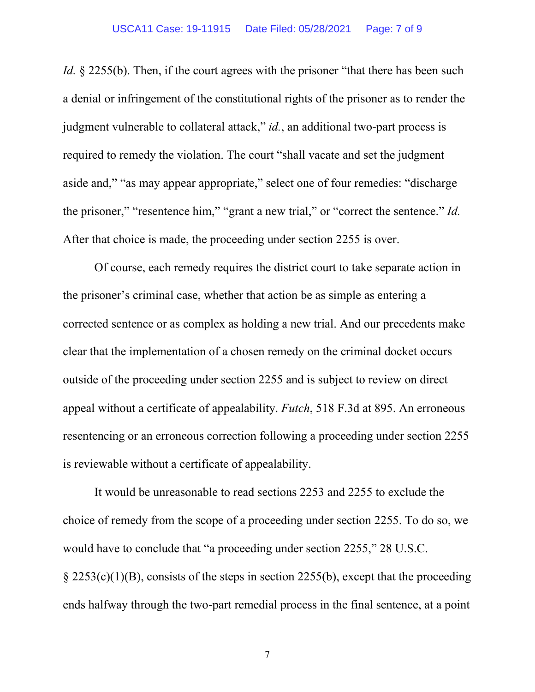*Id.* § 2255(b). Then, if the court agrees with the prisoner "that there has been such a denial or infringement of the constitutional rights of the prisoner as to render the judgment vulnerable to collateral attack," *id.*, an additional two-part process is required to remedy the violation. The court "shall vacate and set the judgment aside and," "as may appear appropriate," select one of four remedies: "discharge the prisoner," "resentence him," "grant a new trial," or "correct the sentence." *Id.* After that choice is made, the proceeding under section 2255 is over.

Of course, each remedy requires the district court to take separate action in the prisoner's criminal case, whether that action be as simple as entering a corrected sentence or as complex as holding a new trial. And our precedents make clear that the implementation of a chosen remedy on the criminal docket occurs outside of the proceeding under section 2255 and is subject to review on direct appeal without a certificate of appealability. *Futch*, 518 F.3d at 895. An erroneous resentencing or an erroneous correction following a proceeding under section 2255 is reviewable without a certificate of appealability.

It would be unreasonable to read sections 2253 and 2255 to exclude the choice of remedy from the scope of a proceeding under section 2255. To do so, we would have to conclude that "a proceeding under section 2255," 28 U.S.C. § 2253(c)(1)(B), consists of the steps in section 2255(b), except that the proceeding ends halfway through the two-part remedial process in the final sentence, at a point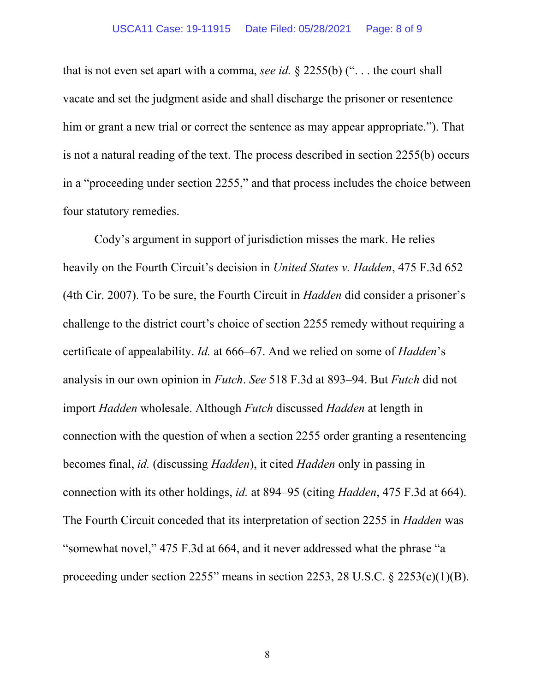that is not even set apart with a comma, *see id.* § 2255(b) (". . . the court shall vacate and set the judgment aside and shall discharge the prisoner or resentence him or grant a new trial or correct the sentence as may appear appropriate."). That is not a natural reading of the text. The process described in section 2255(b) occurs in a "proceeding under section 2255," and that process includes the choice between four statutory remedies.

Cody's argument in support of jurisdiction misses the mark. He relies heavily on the Fourth Circuit's decision in *United States v. Hadden*, 475 F.3d 652 (4th Cir. 2007). To be sure, the Fourth Circuit in *Hadden* did consider a prisoner's challenge to the district court's choice of section 2255 remedy without requiring a certificate of appealability. *Id.* at 666–67. And we relied on some of *Hadden*'s analysis in our own opinion in *Futch*. *See* 518 F.3d at 893–94. But *Futch* did not import *Hadden* wholesale. Although *Futch* discussed *Hadden* at length in connection with the question of when a section 2255 order granting a resentencing becomes final, *id.* (discussing *Hadden*), it cited *Hadden* only in passing in connection with its other holdings, *id.* at 894–95 (citing *Hadden*, 475 F.3d at 664). The Fourth Circuit conceded that its interpretation of section 2255 in *Hadden* was "somewhat novel," 475 F.3d at 664, and it never addressed what the phrase "a proceeding under section 2255" means in section 2253, 28 U.S.C. § 2253(c)(1)(B).